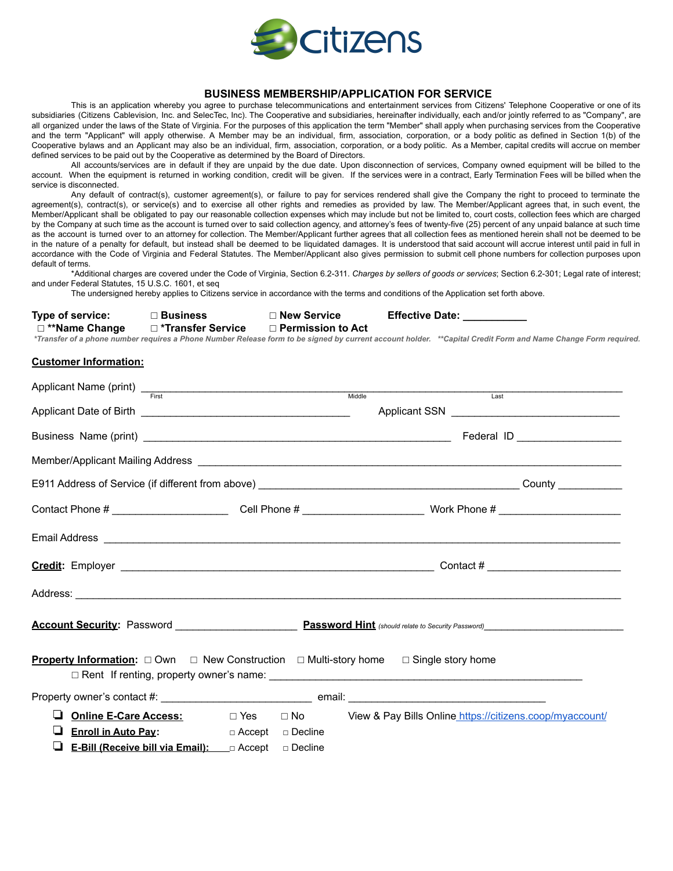

## **BUSINESS MEMBERSHIP/APPLICATION FOR SERVICE**

This is an application whereby you agree to purchase telecommunications and entertainment services from Citizens' Telephone Cooperative or one of its subsidiaries (Citizens Cablevision, Inc. and SelecTec, Inc). The Cooperative and subsidiaries, hereinafter individually, each and/or jointly referred to as "Company", are all organized under the laws of the State of Virginia. For the purposes of this application the term "Member" shall apply when purchasing services from the Cooperative and the term "Applicant" will apply otherwise. A Member may be an individual, firm, association, corporation, or a body politic as defined in Section 1(b) of the Cooperative bylaws and an Applicant may also be an individual, firm, association, corporation, or a body politic. As a Member, capital credits will accrue on member defined services to be paid out by the Cooperative as determined by the Board of Directors.

All accounts/services are in default if they are unpaid by the due date. Upon disconnection of services, Company owned equipment will be billed to the account. When the equipment is returned in working condition, credit will be given. If the services were in a contract, Early Termination Fees will be billed when the service is disconnected.

Any default of contract(s), customer agreement(s), or failure to pay for services rendered shall give the Company the right to proceed to terminate the agreement(s), contract(s), or service(s) and to exercise all other rights and remedies as provided by law. The Member/Applicant agrees that, in such event, the Member/Applicant shall be obligated to pay our reasonable collection expenses which may include but not be limited to, court costs, collection fees which are charged by the Company at such time as the account is turned over to said collection agency, and attorney's fees of twenty-five (25) percent of any unpaid balance at such time as the account is turned over to an attorney for collection. The Member/Applicant further agrees that all collection fees as mentioned herein shall not be deemed to be in the nature of a penalty for default, but instead shall be deemed to be liquidated damages. It is understood that said account will accrue interest until paid in full in accordance with the Code of Virginia and Federal Statutes. The Member/Applicant also gives permission to submit cell phone numbers for collection purposes upon default of terms.

\*Additional charges are covered under the Code of Virginia, Section 6.2-311. *Charges by sellers of goods or services*; Section 6.2-301; Legal rate of interest; and under Federal Statutes, 15 U.S.C. 1601, et seq

The undersigned hereby applies to Citizens service in accordance with the terms and conditions of the Application set forth above.

| Type of service: | $\sqcap$ Business   | □ New Service            | <b>Effective Date:</b>                                                                                                                                        |
|------------------|---------------------|--------------------------|---------------------------------------------------------------------------------------------------------------------------------------------------------------|
| □ **Name Change  | □ *Transfer Service | $\Box$ Permission to Act |                                                                                                                                                               |
|                  |                     |                          | *Transfer of a phone number requires a Phone Number Release form to be signed by current account holder. **Capital Credit Form and Name Change Form required. |

## **Customer Information:**

| Applicant Name (print) Trist<br>First<br>First<br>Allowsky Middle                                                |           |                                                                                                                                                                                                                                     |
|------------------------------------------------------------------------------------------------------------------|-----------|-------------------------------------------------------------------------------------------------------------------------------------------------------------------------------------------------------------------------------------|
|                                                                                                                  |           | Last                                                                                                                                                                                                                                |
|                                                                                                                  |           |                                                                                                                                                                                                                                     |
|                                                                                                                  |           |                                                                                                                                                                                                                                     |
|                                                                                                                  |           | Member/Applicant Mailing Address League and Contract and Contract and Contract and Contract and Contract and Contract and Contract and Contract and Contract and Contract and Contract and Contract and Contract and Contract       |
|                                                                                                                  |           |                                                                                                                                                                                                                                     |
|                                                                                                                  |           |                                                                                                                                                                                                                                     |
|                                                                                                                  |           |                                                                                                                                                                                                                                     |
|                                                                                                                  |           |                                                                                                                                                                                                                                     |
|                                                                                                                  |           | Address: <u>Address:</u> Address: Address: Address: Address: Address: Address: Address: Address: Address: Address: Address: Address: Address: Address: Address: Address: Address: Address: Address: Address: Address: Address: Addr |
|                                                                                                                  |           |                                                                                                                                                                                                                                     |
| <b>Property Information:</b> $\Box$ Own $\Box$ New Construction $\Box$ Multi-story home $\Box$ Single story home |           |                                                                                                                                                                                                                                     |
|                                                                                                                  |           |                                                                                                                                                                                                                                     |
|                                                                                                                  |           | <b>Online E-Care Access:</b> □ Yes □ No View & Pay Bills Online https://citizens.coop/myaccount/                                                                                                                                    |
| Enroll in Auto Pay: Department of Accept                                                                         | □ Decline |                                                                                                                                                                                                                                     |
| ⊔<br>E-Bill (Receive bill via Email): ___ a Accept                                                               | □ Decline |                                                                                                                                                                                                                                     |